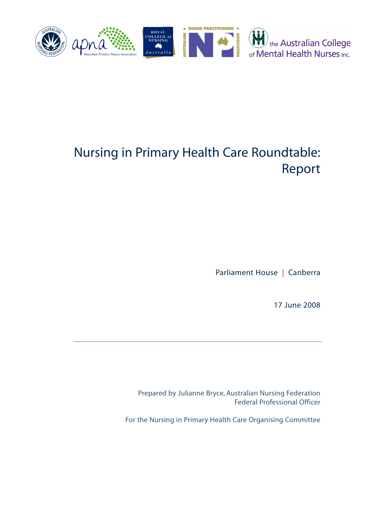

# Nursing in Primary Health Care Roundtable: Report

Parliament House | Canberra

17 June 2008

Prepared by Julianne Bryce, Australian Nursing Federation Federal Professional Officer

For the Nursing in Primary Health Care Organising Committee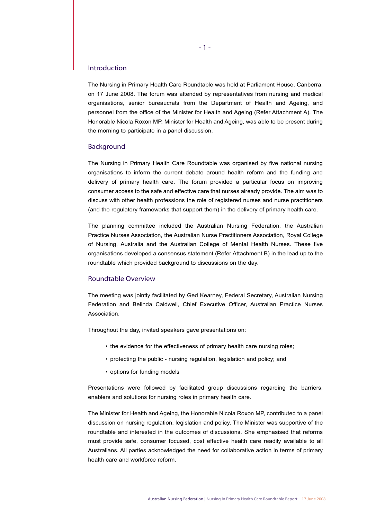## Introduction

The Nursing in Primary Health Care Roundtable was held at Parliament House, Canberra, on 17 June 2008. The forum was attended by representatives from nursing and medical organisations, senior bureaucrats from the Department of Health and Ageing, and personnel from the office of the Minister for Health and Ageing (Refer Attachment A). The Honorable Nicola Roxon MP, Minister for Health and Ageing, was able to be present during the morning to participate in a panel discussion.

#### Background

The Nursing in Primary Health Care Roundtable was organised by five national nursing organisations to inform the current debate around health reform and the funding and delivery of primary health care. The forum provided a particular focus on improving consumer access to the safe and effective care that nurses already provide. The aim was to discuss with other health professions the role of registered nurses and nurse practitioners (and the regulatory frameworks that support them) in the delivery of primary health care.

The planning committee included the Australian Nursing Federation, the Australian Practice Nurses Association, the Australian Nurse Practitioners Association, Royal College of Nursing, Australia and the Australian College of Mental Health Nurses. These five organisations developed a consensus statement (Refer Attachment B) in the lead up to the roundtable which provided background to discussions on the day.

#### Roundtable Overview

The meeting was jointly facilitated by Ged Kearney, Federal Secretary, Australian Nursing Federation and Belinda Caldwell, Chief Executive Officer, Australian Practice Nurses Association.

Throughout the day, invited speakers gave presentations on:

- the evidence for the effectiveness of primary health care nursing roles;
- protecting the public nursing regulation, legislation and policy; and
- options for funding models

Presentations were followed by facilitated group discussions regarding the barriers, enablers and solutions for nursing roles in primary health care.

The Minister for Health and Ageing, the Honorable Nicola Roxon MP, contributed to a panel discussion on nursing regulation, legislation and policy. The Minister was supportive of the roundtable and interested in the outcomes of discussions. She emphasised that reforms must provide safe, consumer focused, cost effective health care readily available to all Australians. All parties acknowledged the need for collaborative action in terms of primary health care and workforce reform.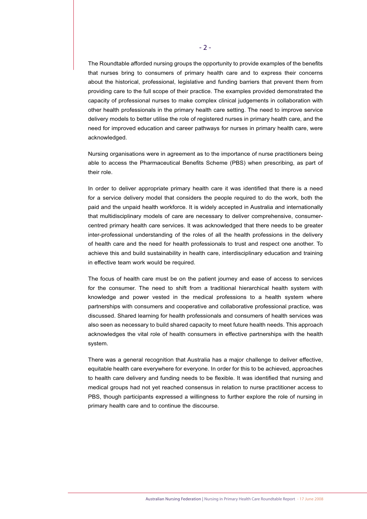The Roundtable afforded nursing groups the opportunity to provide examples of the benefits that nurses bring to consumers of primary health care and to express their concerns about the historical, professional, legislative and funding barriers that prevent them from providing care to the full scope of their practice. The examples provided demonstrated the capacity of professional nurses to make complex clinical judgements in collaboration with other health professionals in the primary health care setting. The need to improve service delivery models to better utilise the role of registered nurses in primary health care, and the need for improved education and career pathways for nurses in primary health care, were acknowledged.

Nursing organisations were in agreement as to the importance of nurse practitioners being able to access the Pharmaceutical Benefits Scheme (PBS) when prescribing, as part of their role.

In order to deliver appropriate primary health care it was identified that there is a need for a service delivery model that considers the people required to do the work, both the paid and the unpaid health workforce. It is widely accepted in Australia and internationally that multidisciplinary models of care are necessary to deliver comprehensive, consumercentred primary health care services. It was acknowledged that there needs to be greater inter-professional understanding of the roles of all the health professions in the delivery of health care and the need for health professionals to trust and respect one another. To achieve this and build sustainability in health care, interdisciplinary education and training in effective team work would be required.

The focus of health care must be on the patient journey and ease of access to services for the consumer. The need to shift from a traditional hierarchical health system with knowledge and power vested in the medical professions to a health system where partnerships with consumers and cooperative and collaborative professional practice, was discussed. Shared learning for health professionals and consumers of health services was also seen as necessary to build shared capacity to meet future health needs. This approach acknowledges the vital role of health consumers in effective partnerships with the health system.

There was a general recognition that Australia has a major challenge to deliver effective, equitable health care everywhere for everyone. In order for this to be achieved, approaches to health care delivery and funding needs to be flexible. It was identified that nursing and medical groups had not yet reached consensus in relation to nurse practitioner access to PBS, though participants expressed a willingness to further explore the role of nursing in primary health care and to continue the discourse.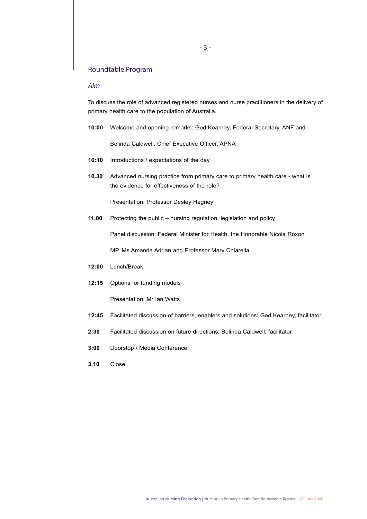## Roundtable Program

## *Aim*

To discuss the role of advanced registered nurses and nurse practitioners in the delivery of primary health care to the population of Australia.

**10:00** Welcome and opening remarks: Ged Kearney, Federal Secretary, ANF and

Belinda Caldwell, Chief Executive Officer, APNA

- **10:10** Introductions / expectations of the day
- **10.30** Advanced nursing practice from primary care to primary health care what is the evidence for effectiveness of the role?

Presentation: Professor Desley Hegney

**11.00** Protecting the public – nursing regulation, legislation and policy

Panel discussion: Federal Minister for Health, the Honorable Nicola Roxon

MP, Ms Amanda Adrian and Professor Mary Chiarella

- **12:00** Lunch/Break
- **12:15** Options for funding models

Presentation: Mr Ian Watts

- **12:45** Facilitated discussion of barriers, enablers and solutions: Ged Kearney, facilitator
- **2:30** Facilitated discussion on future directions: Belinda Caldwell, facilitator
- **3:00** Doorstop / Media Conference
- **3.10** Close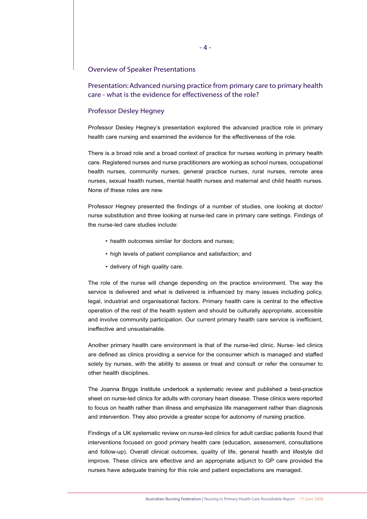#### Overview of Speaker Presentations

Presentation: Advanced nursing practice from primary care to primary health care - what is the evidence for effectiveness of the role?

## Professor Desley Hegney

Professor Desley Hegney's presentation explored the advanced practice role in primary health care nursing and examined the evidence for the effectiveness of the role.

There is a broad role and a broad context of practice for nurses working in primary health care. Registered nurses and nurse practitioners are working as school nurses, occupational health nurses, community nurses, general practice nurses, rural nurses, remote area nurses, sexual health nurses, mental health nurses and maternal and child health nurses. None of these roles are new.

Professor Hegney presented the findings of a number of studies, one looking at doctor/ nurse substitution and three looking at nurse-led care in primary care settings. Findings of the nurse-led care studies include:

- health outcomes similar for doctors and nurses;
- high levels of patient compliance and satisfaction; and
- delivery of high quality care.

The role of the nurse will change depending on the practice environment. The way the service is delivered and what is delivered is influenced by many issues including policy, legal, industrial and organisational factors. Primary health care is central to the effective operation of the rest of the health system and should be culturally appropriate, accessible and involve community participation. Our current primary health care service is inefficient, ineffective and unsustainable.

Another primary health care environment is that of the nurse-led clinic. Nurse- led clinics are defined as clinics providing a service for the consumer which is managed and staffed solely by nurses, with the ability to assess or treat and consult or refer the consumer to other health disciplines.

The Joanna Briggs Institute undertook a systematic review and published a best-practice sheet on nurse-led clinics for adults with coronary heart disease. These clinics were reported to focus on health rather than illness and emphasize life management rather than diagnosis and intervention. They also provide a greater scope for autonomy of nursing practice.

Findings of a UK systematic review on nurse-led clinics for adult cardiac patients found that interventions focused on good primary health care (education, assessment, consultations and follow-up). Overall clinical outcomes, quality of life, general health and lifestyle did improve. These clinics are effective and an appropriate adjunct to GP care provided the nurses have adequate training for this role and patient expectations are managed.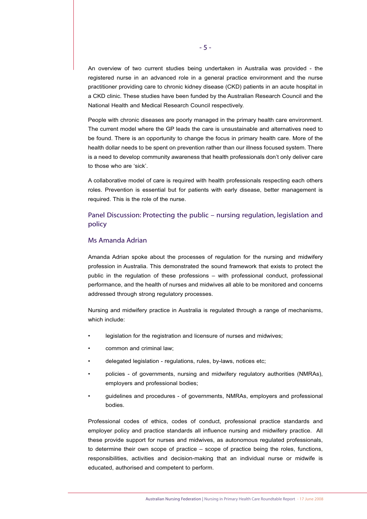An overview of two current studies being undertaken in Australia was provided - the registered nurse in an advanced role in a general practice environment and the nurse practitioner providing care to chronic kidney disease (CKD) patients in an acute hospital in a CKD clinic. These studies have been funded by the Australian Research Council and the National Health and Medical Research Council respectively.

People with chronic diseases are poorly managed in the primary health care environment. The current model where the GP leads the care is unsustainable and alternatives need to be found. There is an opportunity to change the focus in primary health care. More of the health dollar needs to be spent on prevention rather than our illness focused system. There is a need to develop community awareness that health professionals don't only deliver care to those who are 'sick'.

A collaborative model of care is required with health professionals respecting each others roles. Prevention is essential but for patients with early disease, better management is required. This is the role of the nurse.

## Panel Discussion: Protecting the public – nursing regulation, legislation and policy

### Ms Amanda Adrian

Amanda Adrian spoke about the processes of regulation for the nursing and midwifery profession in Australia. This demonstrated the sound framework that exists to protect the public in the regulation of these professions – with professional conduct, professional performance, and the health of nurses and midwives all able to be monitored and concerns addressed through strong regulatory processes.

Nursing and midwifery practice in Australia is regulated through a range of mechanisms, which include:

- legislation for the registration and licensure of nurses and midwives;
- common and criminal law;
- delegated legislation regulations, rules, by-laws, notices etc;
- policies of governments, nursing and midwifery regulatory authorities (NMRAs), employers and professional bodies;
- guidelines and procedures of governments, NMRAs, employers and professional bodies.

Professional codes of ethics, codes of conduct, professional practice standards and employer policy and practice standards all influence nursing and midwifery practice. All these provide support for nurses and midwives, as autonomous regulated professionals, to determine their own scope of practice – scope of practice being the roles, functions, responsibilities, activities and decision-making that an individual nurse or midwife is educated, authorised and competent to perform.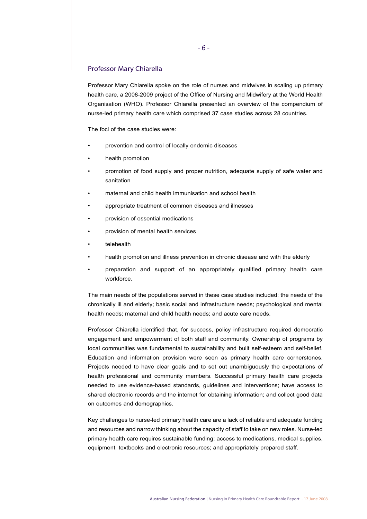#### Professor Mary Chiarella

Professor Mary Chiarella spoke on the role of nurses and midwives in scaling up primary health care, a 2008-2009 project of the Office of Nursing and Midwifery at the World Health Organisation (WHO). Professor Chiarella presented an overview of the compendium of nurse-led primary health care which comprised 37 case studies across 28 countries.

The foci of the case studies were:

- prevention and control of locally endemic diseases
- health promotion
- promotion of food supply and proper nutrition, adequate supply of safe water and sanitation
- maternal and child health immunisation and school health
- appropriate treatment of common diseases and illnesses
- provision of essential medications
- provision of mental health services
- telehealth
- health promotion and illness prevention in chronic disease and with the elderly
- preparation and support of an appropriately qualified primary health care workforce.

The main needs of the populations served in these case studies included: the needs of the chronically ill and elderly; basic social and infrastructure needs; psychological and mental health needs; maternal and child health needs; and acute care needs.

Professor Chiarella identified that, for success, policy infrastructure required democratic engagement and empowerment of both staff and community. Ownership of programs by local communities was fundamental to sustainability and built self-esteem and self-belief. Education and information provision were seen as primary health care cornerstones. Projects needed to have clear goals and to set out unambiguously the expectations of health professional and community members. Successful primary health care projects needed to use evidence-based standards, guidelines and interventions; have access to shared electronic records and the internet for obtaining information; and collect good data on outcomes and demographics.

Key challenges to nurse-led primary health care are a lack of reliable and adequate funding and resources and narrow thinking about the capacity of staff to take on new roles. Nurse-led primary health care requires sustainable funding; access to medications, medical supplies, equipment, textbooks and electronic resources; and appropriately prepared staff.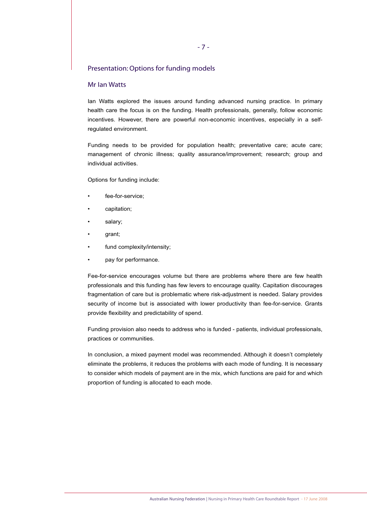## Presentation: Options for funding models

## Mr Ian Watts

Ian Watts explored the issues around funding advanced nursing practice. In primary health care the focus is on the funding. Health professionals, generally, follow economic incentives. However, there are powerful non-economic incentives, especially in a selfregulated environment.

Funding needs to be provided for population health; preventative care; acute care; management of chronic illness; quality assurance/improvement; research; group and individual activities.

Options for funding include:

- fee-for-service;
- capitation;
- salary;
- grant;
- fund complexity/intensity;
- pay for performance.

Fee-for-service encourages volume but there are problems where there are few health professionals and this funding has few levers to encourage quality. Capitation discourages fragmentation of care but is problematic where risk-adjustment is needed. Salary provides security of income but is associated with lower productivity than fee-for-service. Grants provide flexibility and predictability of spend.

Funding provision also needs to address who is funded - patients, individual professionals, practices or communities.

In conclusion, a mixed payment model was recommended. Although it doesn't completely eliminate the problems, it reduces the problems with each mode of funding. It is necessary to consider which models of payment are in the mix, which functions are paid for and which proportion of funding is allocated to each mode.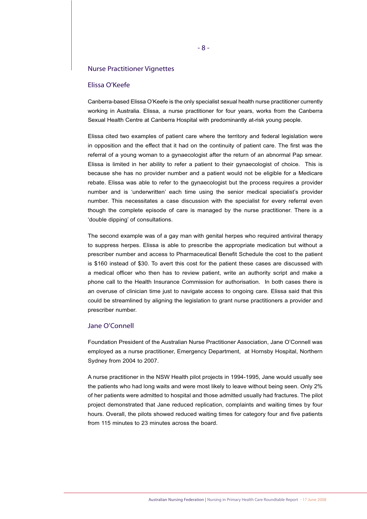#### Nurse Practitioner Vignettes

#### Elissa O'Keefe

Canberra-based Elissa O'Keefe is the only specialist sexual health nurse practitioner currently working in Australia. Elissa, a nurse practitioner for four years, works from the Canberra Sexual Health Centre at Canberra Hospital with predominantly at-risk young people.

Elissa cited two examples of patient care where the territory and federal legislation were in opposition and the effect that it had on the continuity of patient care. The first was the referral of a young woman to a gynaecologist after the return of an abnormal Pap smear. Elissa is limited in her ability to refer a patient to their gynaecologist of choice. This is because she has no provider number and a patient would not be eligible for a Medicare rebate. Elissa was able to refer to the gynaecologist but the process requires a provider number and is 'underwritten' each time using the senior medical specialist's provider number. This necessitates a case discussion with the specialist for every referral even though the complete episode of care is managed by the nurse practitioner. There is a 'double dipping' of consultations.

The second example was of a gay man with genital herpes who required antiviral therapy to suppress herpes. Elissa is able to prescribe the appropriate medication but without a prescriber number and access to Pharmaceutical Benefit Schedule the cost to the patient is \$160 instead of \$30. To avert this cost for the patient these cases are discussed with a medical officer who then has to review patient, write an authority script and make a phone call to the Health Insurance Commission for authorisation. In both cases there is an overuse of clinician time just to navigate access to ongoing care. Elissa said that this could be streamlined by aligning the legislation to grant nurse practitioners a provider and prescriber number.

#### Jane O'Connell

Foundation President of the Australian Nurse Practitioner Association, Jane O'Connell was employed as a nurse practitioner, Emergency Department, at Hornsby Hospital, Northern Sydney from 2004 to 2007.

A nurse practitioner in the NSW Health pilot projects in 1994-1995, Jane would usually see the patients who had long waits and were most likely to leave without being seen. Only 2% of her patients were admitted to hospital and those admitted usually had fractures. The pilot project demonstrated that Jane reduced replication, complaints and waiting times by four hours. Overall, the pilots showed reduced waiting times for category four and five patients from 115 minutes to 23 minutes across the board.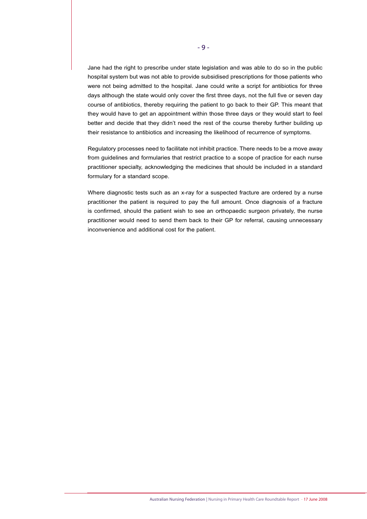Jane had the right to prescribe under state legislation and was able to do so in the public hospital system but was not able to provide subsidised prescriptions for those patients who were not being admitted to the hospital. Jane could write a script for antibiotics for three days although the state would only cover the first three days, not the full five or seven day course of antibiotics, thereby requiring the patient to go back to their GP. This meant that they would have to get an appointment within those three days or they would start to feel better and decide that they didn't need the rest of the course thereby further building up their resistance to antibiotics and increasing the likelihood of recurrence of symptoms.

Regulatory processes need to facilitate not inhibit practice. There needs to be a move away from guidelines and formularies that restrict practice to a scope of practice for each nurse practitioner specialty, acknowledging the medicines that should be included in a standard formulary for a standard scope.

Where diagnostic tests such as an x-ray for a suspected fracture are ordered by a nurse practitioner the patient is required to pay the full amount. Once diagnosis of a fracture is confirmed, should the patient wish to see an orthopaedic surgeon privately, the nurse practitioner would need to send them back to their GP for referral, causing unnecessary inconvenience and additional cost for the patient.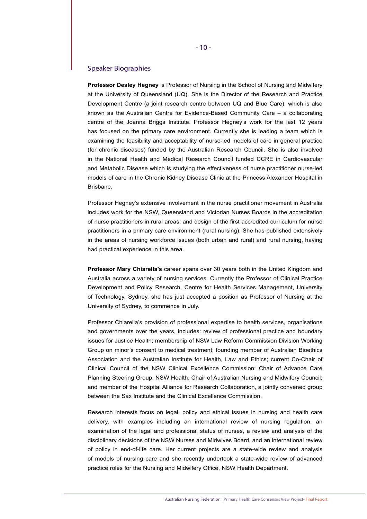#### Speaker Biographies

**Professor Desley Hegney** is Professor of Nursing in the School of Nursing and Midwifery at the University of Queensland (UQ). She is the Director of the Research and Practice Development Centre (a joint research centre between UQ and Blue Care), which is also known as the Australian Centre for Evidence-Based Community Care – a collaborating centre of the Joanna Briggs Institute. Professor Hegney's work for the last 12 years has focused on the primary care environment. Currently she is leading a team which is examining the feasibility and acceptability of nurse-led models of care in general practice (for chronic diseases) funded by the Australian Research Council. She is also involved in the National Health and Medical Research Council funded CCRE in Cardiovascular and Metabolic Disease which is studying the effectiveness of nurse practitioner nurse-led models of care in the Chronic Kidney Disease Clinic at the Princess Alexander Hospital in Brisbane.

Professor Hegney's extensive involvement in the nurse practitioner movement in Australia includes work for the NSW, Queensland and Victorian Nurses Boards in the accreditation of nurse practitioners in rural areas; and design of the first accredited curriculum for nurse practitioners in a primary care environment (rural nursing). She has published extensively in the areas of nursing workforce issues (both urban and rural) and rural nursing, having had practical experience in this area.

**Professor Mary Chiarella's** career spans over 30 years both in the United Kingdom and Australia across a variety of nursing services. Currently the Professor of Clinical Practice Development and Policy Research, Centre for Health Services Management, University of Technology, Sydney, she has just accepted a position as Professor of Nursing at the University of Sydney, to commence in July.

Professor Chiarella's provision of professional expertise to health services, organisations and governments over the years, includes: review of professional practice and boundary issues for Justice Health; membership of NSW Law Reform Commission Division Working Group on minor's consent to medical treatment; founding member of Australian Bioethics Association and the Australian Institute for Health, Law and Ethics; current Co-Chair of Clinical Council of the NSW Clinical Excellence Commission; Chair of Advance Care Planning Steering Group, NSW Health; Chair of Australian Nursing and Midwifery Council; and member of the Hospital Alliance for Research Collaboration, a jointly convened group between the Sax Institute and the Clinical Excellence Commission.

Research interests focus on legal, policy and ethical issues in nursing and health care delivery, with examples including an international review of nursing regulation, an examination of the legal and professional status of nurses, a review and analysis of the disciplinary decisions of the NSW Nurses and Midwives Board, and an international review of policy in end-of-life care. Her current projects are a state-wide review and analysis of models of nursing care and she recently undertook a state-wide review of advanced practice roles for the Nursing and Midwifery Office, NSW Health Department.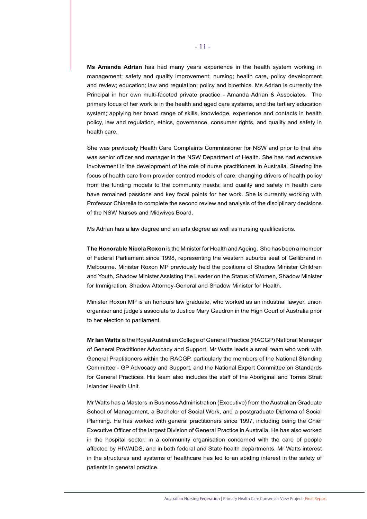**Ms Amanda Adrian** has had many years experience in the health system working in management; safety and quality improvement; nursing; health care, policy development and review; education; law and regulation; policy and bioethics. Ms Adrian is currently the Principal in her own multi-faceted private practice - Amanda Adrian & Associates. The primary locus of her work is in the health and aged care systems, and the tertiary education system; applying her broad range of skills, knowledge, experience and contacts in health policy, law and regulation, ethics, governance, consumer rights, and quality and safety in health care.

She was previously Health Care Complaints Commissioner for NSW and prior to that she was senior officer and manager in the NSW Department of Health. She has had extensive involvement in the development of the role of nurse practitioners in Australia. Steering the focus of health care from provider centred models of care; changing drivers of health policy from the funding models to the community needs; and quality and safety in health care have remained passions and key focal points for her work. She is currently working with Professor Chiarella to complete the second review and analysis of the disciplinary decisions of the NSW Nurses and Midwives Board.

Ms Adrian has a law degree and an arts degree as well as nursing qualifications.

**The Honorable Nicola Roxon** is the Minister for Health and Ageing. She has been a member of Federal Parliament since 1998, representing the western suburbs seat of Gellibrand in Melbourne. Minister Roxon MP previously held the positions of Shadow Minister Children and Youth, Shadow Minister Assisting the Leader on the Status of Women, Shadow Minister for Immigration, Shadow Attorney-General and Shadow Minister for Health.

Minister Roxon MP is an honours law graduate, who worked as an industrial lawyer, union organiser and judge's associate to Justice Mary Gaudron in the High Court of Australia prior to her election to parliament.

**Mr Ian Watts** is the Royal Australian College of General Practice (RACGP) National Manager of General Practitioner Advocacy and Support. Mr Watts leads a small team who work with General Practitioners within the RACGP, particularly the members of the National Standing Committee - GP Advocacy and Support, and the National Expert Committee on Standards for General Practices. His team also includes the staff of the Aboriginal and Torres Strait Islander Health Unit.

Mr Watts has a Masters in Business Administration (Executive) from the Australian Graduate School of Management, a Bachelor of Social Work, and a postgraduate Diploma of Social Planning. He has worked with general practitioners since 1997, including being the Chief Executive Officer of the largest Division of General Practice in Australia. He has also worked in the hospital sector, in a community organisation concerned with the care of people affected by HIV/AIDS, and in both federal and State health departments. Mr Watts interest in the structures and systems of healthcare has led to an abiding interest in the safety of patients in general practice.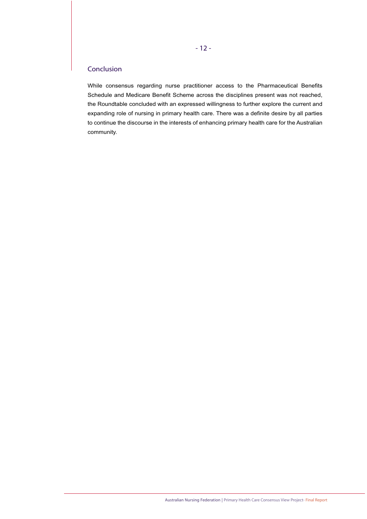## Conclusion

While consensus regarding nurse practitioner access to the Pharmaceutical Benefits Schedule and Medicare Benefit Scheme across the disciplines present was not reached, the Roundtable concluded with an expressed willingness to further explore the current and expanding role of nursing in primary health care. There was a definite desire by all parties to continue the discourse in the interests of enhancing primary health care for the Australian community.